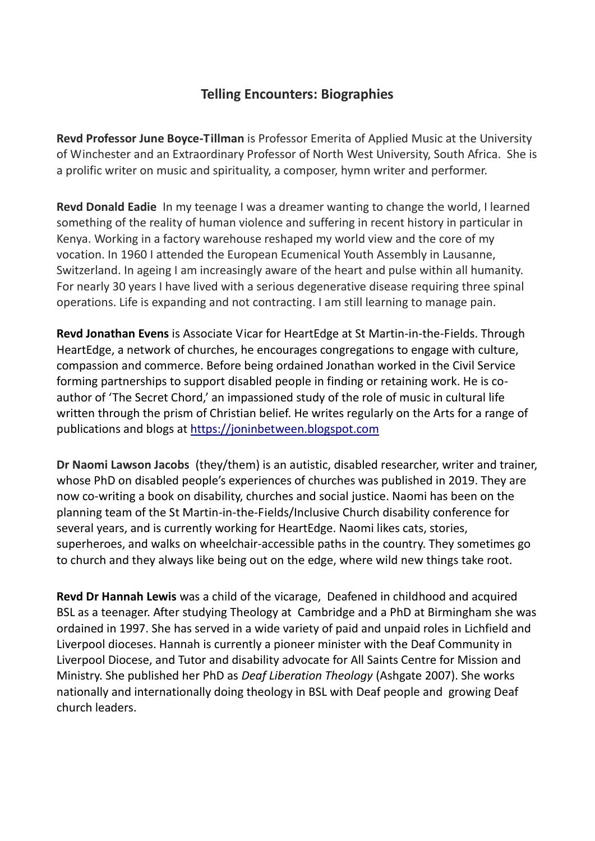## **Telling Encounters: Biographies**

**Revd Professor June Boyce-Tillman** is Professor Emerita of Applied Music at the University of Winchester and an Extraordinary Professor of North West University, South Africa. She is a prolific writer on music and spirituality, a composer, hymn writer and performer.

**Revd Donald Eadie** In my teenage I was a dreamer wanting to change the world, I learned something of the reality of human violence and suffering in recent history in particular in Kenya. Working in a factory warehouse reshaped my world view and the core of my vocation. In 1960 I attended the European Ecumenical Youth Assembly in Lausanne, Switzerland. In ageing I am increasingly aware of the heart and pulse within all humanity. For nearly 30 years I have lived with a serious degenerative disease requiring three spinal operations. Life is expanding and not contracting. I am still learning to manage pain.

**Revd Jonathan Evens** is Associate Vicar for HeartEdge at St Martin-in-the-Fields. Through HeartEdge, a network of churches, he encourages congregations to engage with culture, compassion and commerce. Before being ordained Jonathan worked in the Civil Service forming partnerships to support disabled people in finding or retaining work. He is coauthor of 'The Secret Chord,' an impassioned study of the role of music in cultural life written through the prism of Christian belief. He writes regularly on the Arts for a range of publications and blogs at [https://joninbetween.blogspot.com](https://joninbetween.blogspot.com/)

**Dr Naomi Lawson Jacobs** (they/them) is an autistic, disabled researcher, writer and trainer, whose PhD on disabled people's experiences of churches was published in 2019. They are now co-writing a book on disability, churches and social justice. Naomi has been on the planning team of the St Martin-in-the-Fields/Inclusive Church disability conference for several years, and is currently working for HeartEdge. Naomi likes cats, stories, superheroes, and walks on wheelchair-accessible paths in the country. They sometimes go to church and they always like being out on the edge, where wild new things take root.

**Revd Dr Hannah Lewis** was a child of the vicarage, Deafened in childhood and acquired BSL as a teenager. After studying Theology at Cambridge and a PhD at Birmingham she was ordained in 1997. She has served in a wide variety of paid and unpaid roles in Lichfield and Liverpool dioceses. Hannah is currently a pioneer minister with the Deaf Community in Liverpool Diocese, and Tutor and disability advocate for All Saints Centre for Mission and Ministry. She published her PhD as *Deaf Liberation Theology* (Ashgate 2007). She works nationally and internationally doing theology in BSL with Deaf people and growing Deaf church leaders.